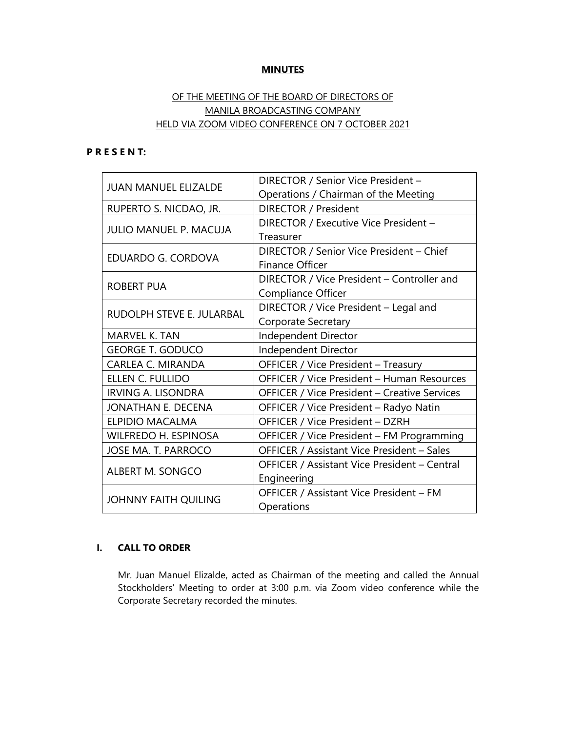# **MINUTES**

# OF THE MEETING OF THE BOARD OF DIRECTORS OF MANILA BROADCASTING COMPANY HELD VIA ZOOM VIDEO CONFERENCE ON 7 OCTOBER 2021

## **P R E S E N T:**

| <b>JUAN MANUEL ELIZALDE</b>   | DIRECTOR / Senior Vice President -                  |  |
|-------------------------------|-----------------------------------------------------|--|
|                               | Operations / Chairman of the Meeting                |  |
| RUPERTO S. NICDAO, JR.        | DIRECTOR / President                                |  |
| <b>JULIO MANUEL P. MACUJA</b> | DIRECTOR / Executive Vice President -               |  |
|                               | Treasurer                                           |  |
| EDUARDO G. CORDOVA            | DIRECTOR / Senior Vice President - Chief            |  |
|                               | <b>Finance Officer</b>                              |  |
| <b>ROBERT PUA</b>             | DIRECTOR / Vice President - Controller and          |  |
|                               | Compliance Officer                                  |  |
| RUDOLPH STEVE E. JULARBAL     | DIRECTOR / Vice President - Legal and               |  |
|                               | <b>Corporate Secretary</b>                          |  |
| <b>MARVEL K. TAN</b>          | Independent Director                                |  |
| <b>GEORGE T. GODUCO</b>       | Independent Director                                |  |
| <b>CARLEA C. MIRANDA</b>      | OFFICER / Vice President - Treasury                 |  |
| ELLEN C. FULLIDO              | OFFICER / Vice President - Human Resources          |  |
| <b>IRVING A. LISONDRA</b>     | <b>OFFICER / Vice President - Creative Services</b> |  |
| JONATHAN E. DECENA            | OFFICER / Vice President - Radyo Natin              |  |
| <b>ELPIDIO MACALMA</b>        | OFFICER / Vice President - DZRH                     |  |
| <b>WILFREDO H. ESPINOSA</b>   | OFFICER / Vice President - FM Programming           |  |
| JOSE MA. T. PARROCO           | OFFICER / Assistant Vice President - Sales          |  |
| <b>ALBERT M. SONGCO</b>       | OFFICER / Assistant Vice President - Central        |  |
|                               | Engineering                                         |  |
| <b>JOHNNY FAITH QUILING</b>   | OFFICER / Assistant Vice President - FM             |  |
|                               | Operations                                          |  |

# **I. CALL TO ORDER**

Mr. Juan Manuel Elizalde, acted as Chairman of the meeting and called the Annual Stockholders' Meeting to order at 3:00 p.m. via Zoom video conference while the Corporate Secretary recorded the minutes.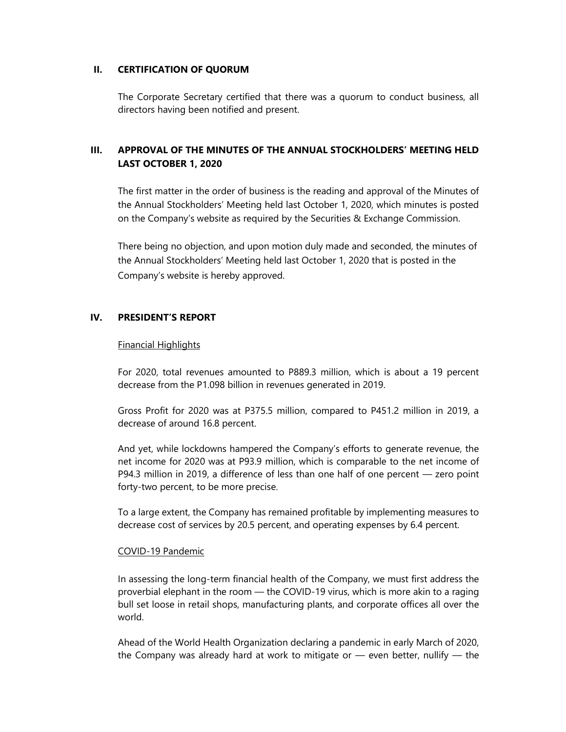# **II. CERTIFICATION OF QUORUM**

The Corporate Secretary certified that there was a quorum to conduct business, all directors having been notified and present.

# **III. APPROVAL OF THE MINUTES OF THE ANNUAL STOCKHOLDERS' MEETING HELD LAST OCTOBER 1, 2020**

The first matter in the order of business is the reading and approval of the Minutes of the Annual Stockholders' Meeting held last October 1, 2020, which minutes is posted on the Company's website as required by the Securities & Exchange Commission.

There being no objection, and upon motion duly made and seconded, the minutes of the Annual Stockholders' Meeting held last October 1, 2020 that is posted in the Company's website is hereby approved.

# **IV. PRESIDENT'S REPORT**

## Financial Highlights

For 2020, total revenues amounted to P889.3 million, which is about a 19 percent decrease from the P1.098 billion in revenues generated in 2019.

Gross Profit for 2020 was at P375.5 million, compared to P451.2 million in 2019, a decrease of around 16.8 percent.

And yet, while lockdowns hampered the Company's efforts to generate revenue, the net income for 2020 was at P93.9 million, which is comparable to the net income of P94.3 million in 2019, a difference of less than one half of one percent — zero point forty-two percent, to be more precise.

To a large extent, the Company has remained profitable by implementing measures to decrease cost of services by 20.5 percent, and operating expenses by 6.4 percent.

## COVID-19 Pandemic

In assessing the long-term financial health of the Company, we must first address the proverbial elephant in the room — the COVID-19 virus, which is more akin to a raging bull set loose in retail shops, manufacturing plants, and corporate offices all over the world.

Ahead of the World Health Organization declaring a pandemic in early March of 2020, the Company was already hard at work to mitigate or — even better, nullify — the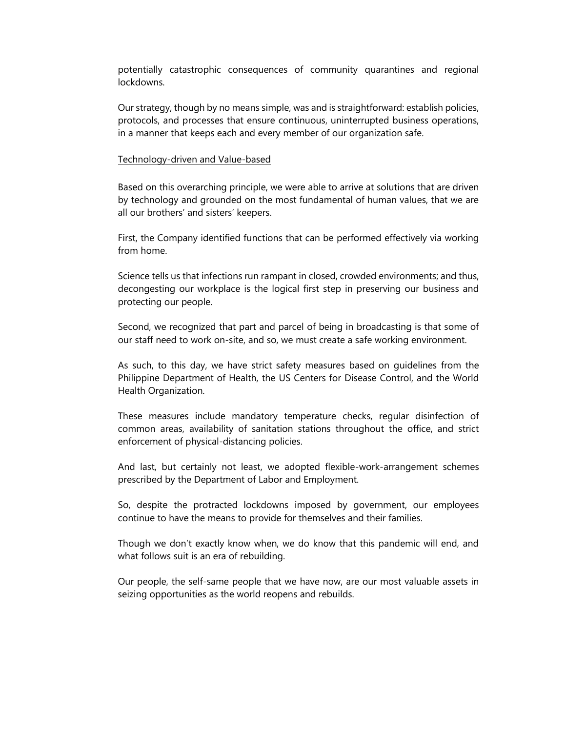potentially catastrophic consequences of community quarantines and regional lockdowns.

Our strategy, though by no means simple, was and is straightforward: establish policies, protocols, and processes that ensure continuous, uninterrupted business operations, in a manner that keeps each and every member of our organization safe.

#### Technology-driven and Value-based

Based on this overarching principle, we were able to arrive at solutions that are driven by technology and grounded on the most fundamental of human values, that we are all our brothers' and sisters' keepers.

First, the Company identified functions that can be performed effectively via working from home.

Science tells us that infections run rampant in closed, crowded environments; and thus, decongesting our workplace is the logical first step in preserving our business and protecting our people.

Second, we recognized that part and parcel of being in broadcasting is that some of our staff need to work on-site, and so, we must create a safe working environment.

As such, to this day, we have strict safety measures based on guidelines from the Philippine Department of Health, the US Centers for Disease Control, and the World Health Organization.

These measures include mandatory temperature checks, regular disinfection of common areas, availability of sanitation stations throughout the office, and strict enforcement of physical-distancing policies.

And last, but certainly not least, we adopted flexible-work-arrangement schemes prescribed by the Department of Labor and Employment.

So, despite the protracted lockdowns imposed by government, our employees continue to have the means to provide for themselves and their families.

Though we don't exactly know when, we do know that this pandemic will end, and what follows suit is an era of rebuilding.

Our people, the self-same people that we have now, are our most valuable assets in seizing opportunities as the world reopens and rebuilds.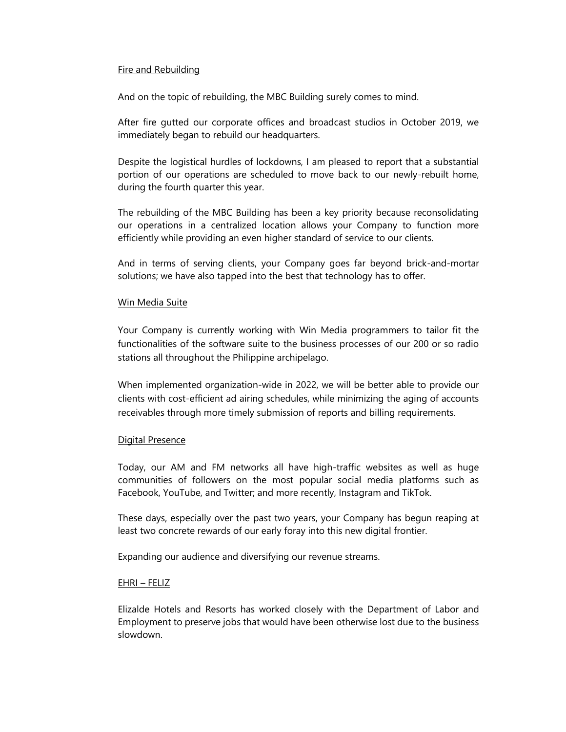## Fire and Rebuilding

And on the topic of rebuilding, the MBC Building surely comes to mind.

After fire gutted our corporate offices and broadcast studios in October 2019, we immediately began to rebuild our headquarters.

Despite the logistical hurdles of lockdowns, I am pleased to report that a substantial portion of our operations are scheduled to move back to our newly-rebuilt home, during the fourth quarter this year.

The rebuilding of the MBC Building has been a key priority because reconsolidating our operations in a centralized location allows your Company to function more efficiently while providing an even higher standard of service to our clients.

And in terms of serving clients, your Company goes far beyond brick-and-mortar solutions; we have also tapped into the best that technology has to offer.

## Win Media Suite

Your Company is currently working with Win Media programmers to tailor fit the functionalities of the software suite to the business processes of our 200 or so radio stations all throughout the Philippine archipelago.

When implemented organization-wide in 2022, we will be better able to provide our clients with cost-efficient ad airing schedules, while minimizing the aging of accounts receivables through more timely submission of reports and billing requirements.

### Digital Presence

Today, our AM and FM networks all have high-traffic websites as well as huge communities of followers on the most popular social media platforms such as Facebook, YouTube, and Twitter; and more recently, Instagram and TikTok.

These days, especially over the past two years, your Company has begun reaping at least two concrete rewards of our early foray into this new digital frontier.

Expanding our audience and diversifying our revenue streams.

### EHRI – FELIZ

Elizalde Hotels and Resorts has worked closely with the Department of Labor and Employment to preserve jobs that would have been otherwise lost due to the business slowdown.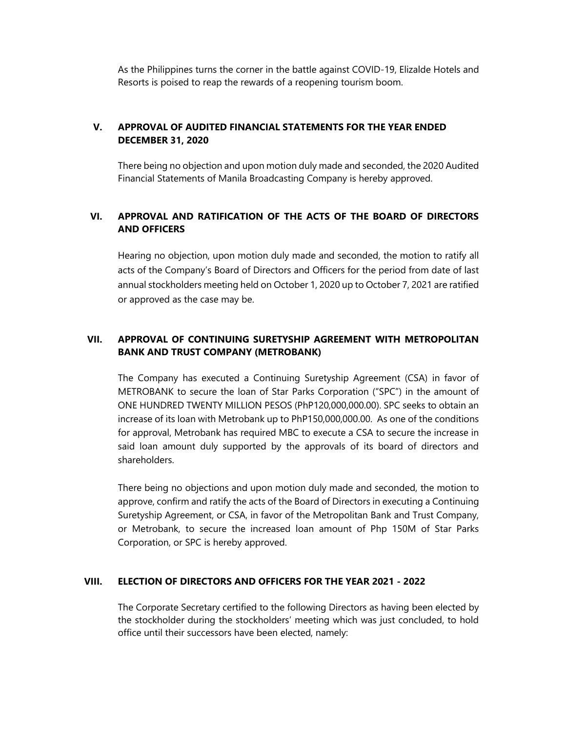As the Philippines turns the corner in the battle against COVID-19, Elizalde Hotels and Resorts is poised to reap the rewards of a reopening tourism boom.

# **V. APPROVAL OF AUDITED FINANCIAL STATEMENTS FOR THE YEAR ENDED DECEMBER 31, 2020**

There being no objection and upon motion duly made and seconded, the 2020 Audited Financial Statements of Manila Broadcasting Company is hereby approved.

# **VI. APPROVAL AND RATIFICATION OF THE ACTS OF THE BOARD OF DIRECTORS AND OFFICERS**

Hearing no objection, upon motion duly made and seconded, the motion to ratify all acts of the Company's Board of Directors and Officers for the period from date of last annual stockholders meeting held on October 1, 2020 up to October 7, 2021 are ratified or approved as the case may be.

# **VII. APPROVAL OF CONTINUING SURETYSHIP AGREEMENT WITH METROPOLITAN BANK AND TRUST COMPANY (METROBANK)**

The Company has executed a Continuing Suretyship Agreement (CSA) in favor of METROBANK to secure the loan of Star Parks Corporation ("SPC") in the amount of ONE HUNDRED TWENTY MILLION PESOS (PhP120,000,000.00). SPC seeks to obtain an increase of its loan with Metrobank up to PhP150,000,000.00. As one of the conditions for approval, Metrobank has required MBC to execute a CSA to secure the increase in said loan amount duly supported by the approvals of its board of directors and shareholders.

There being no objections and upon motion duly made and seconded, the motion to approve, confirm and ratify the acts of the Board of Directors in executing a Continuing Suretyship Agreement, or CSA, in favor of the Metropolitan Bank and Trust Company, or Metrobank, to secure the increased loan amount of Php 150M of Star Parks Corporation, or SPC is hereby approved.

# **VIII. ELECTION OF DIRECTORS AND OFFICERS FOR THE YEAR 2021 - 2022**

The Corporate Secretary certified to the following Directors as having been elected by the stockholder during the stockholders' meeting which was just concluded, to hold office until their successors have been elected, namely: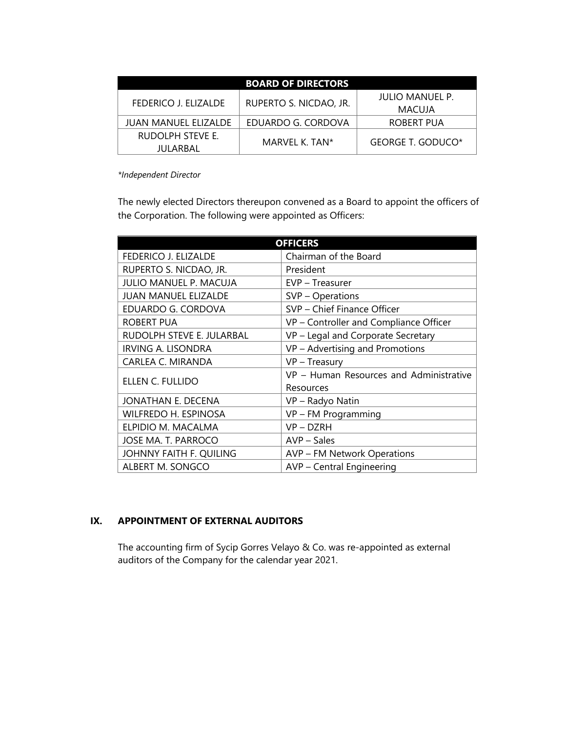| <b>BOARD OF DIRECTORS</b>   |                        |                   |  |
|-----------------------------|------------------------|-------------------|--|
| FEDERICO J. ELIZALDE        | RUPERTO S. NICDAO, JR. | JULIO MANUEL P.   |  |
|                             |                        | MACUJA            |  |
| <b>JUAN MANUEL ELIZALDE</b> | EDUARDO G. CORDOVA     | ROBERT PUA        |  |
| RUDOLPH STEVE E.            | MARVEL K. TAN*         | GEORGE T. GODUCO* |  |
| JULARBAL                    |                        |                   |  |

*\*Independent Director*

The newly elected Directors thereupon convened as a Board to appoint the officers of the Corporation. The following were appointed as Officers:

| <b>OFFICERS</b>               |                                         |  |
|-------------------------------|-----------------------------------------|--|
| <b>FEDERICO J. ELIZALDE</b>   | Chairman of the Board                   |  |
| RUPERTO S. NICDAO, JR.        | President                               |  |
| <b>JULIO MANUEL P. MACUJA</b> | EVP - Treasurer                         |  |
| <b>JUAN MANUEL ELIZALDE</b>   | SVP – Operations                        |  |
| EDUARDO G. CORDOVA            | SVP - Chief Finance Officer             |  |
| <b>ROBERT PUA</b>             | VP - Controller and Compliance Officer  |  |
| RUDOLPH STEVE E. JULARBAL     | VP - Legal and Corporate Secretary      |  |
| <b>IRVING A. LISONDRA</b>     | VP - Advertising and Promotions         |  |
| CARLEA C. MIRANDA             | VP - Treasury                           |  |
| ELLEN C. FULLIDO              | VP - Human Resources and Administrative |  |
|                               | Resources                               |  |
| JONATHAN E. DECENA            | VP - Radyo Natin                        |  |
| WILFREDO H. ESPINOSA          | VP - FM Programming                     |  |
| ELPIDIO M. MACALMA            | VP-DZRH                                 |  |
| JOSE MA. T. PARROCO           | AVP – Sales                             |  |
| JOHNNY FAITH F. QUILING       | <b>AVP – FM Network Operations</b>      |  |
| ALBERT M. SONGCO              | AVP - Central Engineering               |  |

# **IX. APPOINTMENT OF EXTERNAL AUDITORS**

The accounting firm of Sycip Gorres Velayo & Co. was re-appointed as external auditors of the Company for the calendar year 2021.